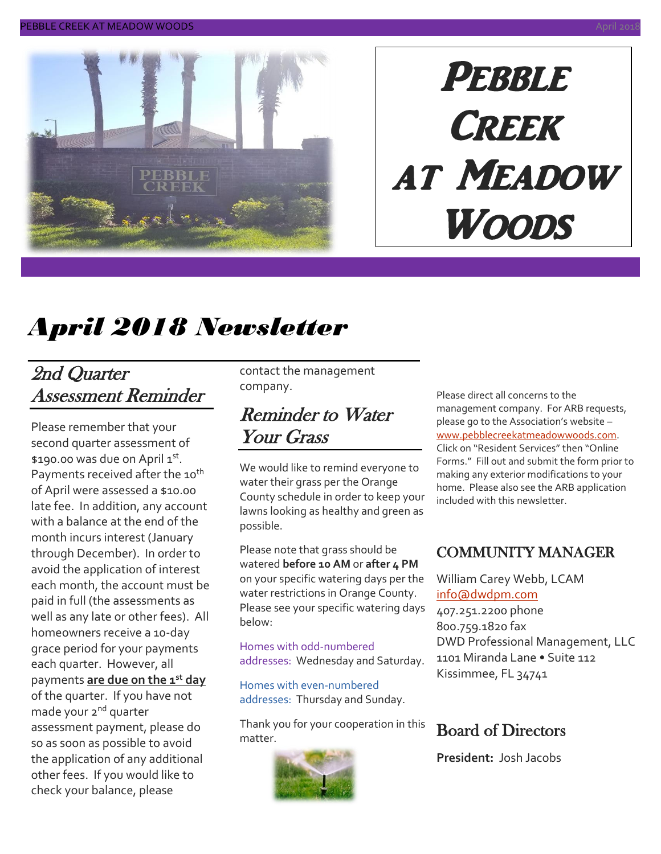

# PEBBLE **CREEK** at Meadow Woods

# *April 2018 Newsletter*

### 2nd Quarter Assessment Reminder

Please remember that your second quarter assessment of \$190.00 was due on April 1st. Payments received after the 10<sup>th</sup> of April were assessed a \$10.00 late fee. In addition, any account with a balance at the end of the month incurs interest (January through December). In order to avoid the application of interest each month, the account must be paid in full (the assessments as well as any late or other fees). All homeowners receive a 10-day grace period for your payments each quarter. However, all payments **are due on the 1st day** of the quarter. If you have not made your 2<sup>nd</sup> quarter assessment payment, please do so as soon as possible to avoid the application of any additional other fees. If you would like to check your balance, please

contact the management company.

### Reminder to Water Your Grass

We would like to remind everyone to water their grass per the Orange County schedule in order to keep your lawns looking as healthy and green as possible.

Please note that grass should be watered **before 10 AM** or **after 4 PM** on your specific watering days per the water restrictions in Orange County. Please see your specific watering days below:

Homes with odd-numbered addresses: Wednesday and Saturday.

Homes with even-numbered addresses: Thursday and Sunday.

Thank you for your cooperation in this matter.



Please direct all concerns to the management company. For ARB requests, please go to the Association's website – [www.pebblecreekatmeadowwoods.com.](http://www.pebblecreekatmeadowwoods.com/) Click on "Resident Services" then "Online Forms." Fill out and submit the form prior to making any exterior modifications to your home. Please also see the ARB application included with this newsletter.

#### COMMUNITY MANAGER

William Carey Webb, LCAM [info@dwdpm.com](mailto:info@dwdpm.com)  407.251.2200 phone 800.759.1820 fax DWD Professional Management, LLC 1101 Miranda Lane • Suite 112 Kissimmee, FL 34741

#### Board of Directors

**President:** Josh Jacobs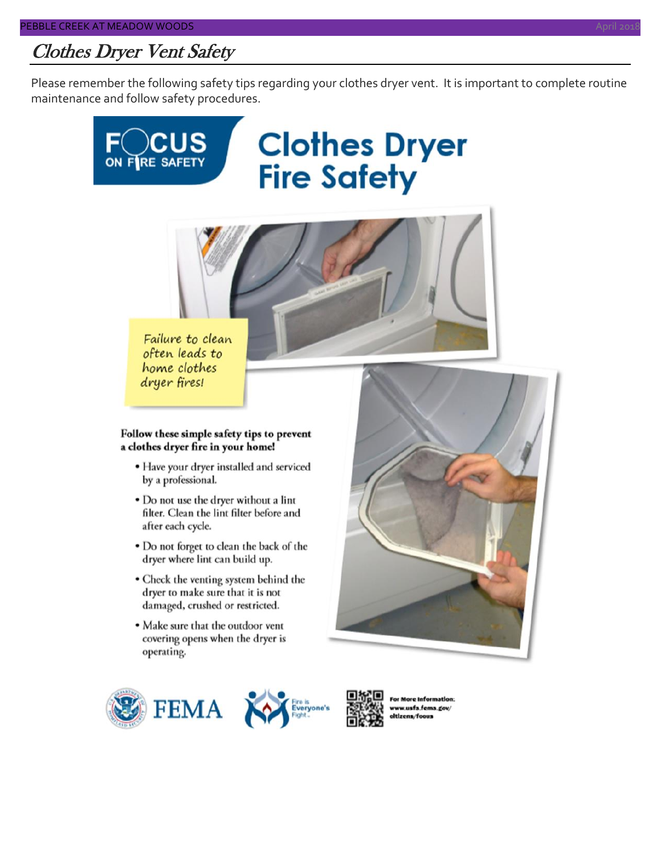### Clothes Dryer Vent Safety

Please remember the following safety tips regarding your clothes dryer vent. It is important to complete routine maintenance and follow safety procedures.





Failure to clean often leads to home clothes dryer fires!

#### Follow these simple safety tips to prevent a clothes dryer fire in your home!

- Have your dryer installed and serviced by a professional.
- Do not use the dryer without a lint filter. Clean the lint filter before and after each cycle.
- Do not forget to clean the back of the dryer where lint can build up.
- Check the venting system behind the dryer to make sure that it is not damaged, crushed or restricted.
- Make sure that the outdoor vent covering opens when the dryer is operating.





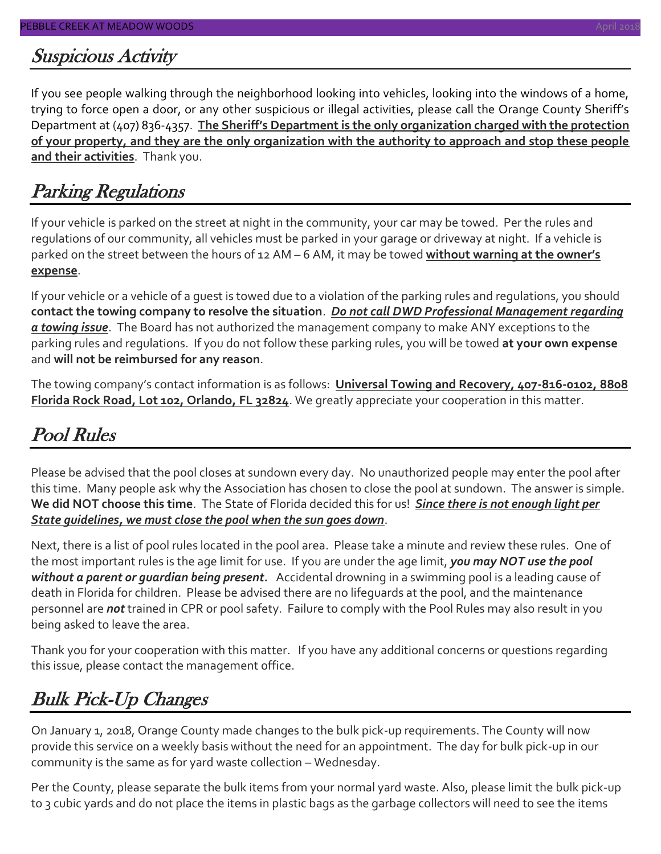#### Suspicious Activity

If you see people walking through the neighborhood looking into vehicles, looking into the windows of a home, trying to force open a door, or any other suspicious or illegal activities, please call the Orange County Sheriff's Department at (407) 836-4357. **The Sheriff's Department is the only organization charged with the protection of your property, and they are the only organization with the authority to approach and stop these people and their activities**. Thank you.

### Parking Regulations

If your vehicle is parked on the street at night in the community, your car may be towed. Per the rules and regulations of our community, all vehicles must be parked in your garage or driveway at night. If a vehicle is parked on the street between the hours of 12 AM – 6 AM, it may be towed **without warning at the owner's expense**.

If your vehicle or a vehicle of a guest is towed due to a violation of the parking rules and regulations, you should **contact the towing company to resolve the situation**. *Do not call DWD Professional Management regarding a towing issue*. The Board has not authorized the management company to make ANY exceptions to the parking rules and regulations. If you do not follow these parking rules, you will be towed **at your own expense** and **will not be reimbursed for any reason**.

The towing company's contact information is as follows: **Universal Towing and Recovery, 407-816-0102, 8808 Florida Rock Road, Lot 102, Orlando, FL 32824**. We greatly appreciate your cooperation in this matter.

### Pool Rules

Please be advised that the pool closes at sundown every day. No unauthorized people may enter the pool after this time. Many people ask why the Association has chosen to close the pool at sundown. The answer is simple. **We did NOT choose this time**. The State of Florida decided this for us! *Since there is not enough light per State guidelines, we must close the pool when the sun goes down*.

Next, there is a list of pool rules located in the pool area. Please take a minute and review these rules. One of the most important rules is the age limit for use. If you are under the age limit, *you may NOT use the pool without a parent or guardian being present.* Accidental drowning in a swimming pool is a leading cause of death in Florida for children. Please be advised there are no lifeguards at the pool, and the maintenance personnel are *not* trained in CPR or pool safety. Failure to comply with the Pool Rules may also result in you being asked to leave the area.

Thank you for your cooperation with this matter. If you have any additional concerns or questions regarding this issue, please contact the management office.

### Bulk Pick-Up Changes

On January 1, 2018, Orange County made changes to the bulk pick-up requirements. The County will now provide this service on a weekly basis without the need for an appointment. The day for bulk pick-up in our community is the same as for yard waste collection – Wednesday.

Per the County, please separate the bulk items from your normal yard waste. Also, please limit the bulk pick-up to 3 cubic yards and do not place the items in plastic bags as the garbage collectors will need to see the items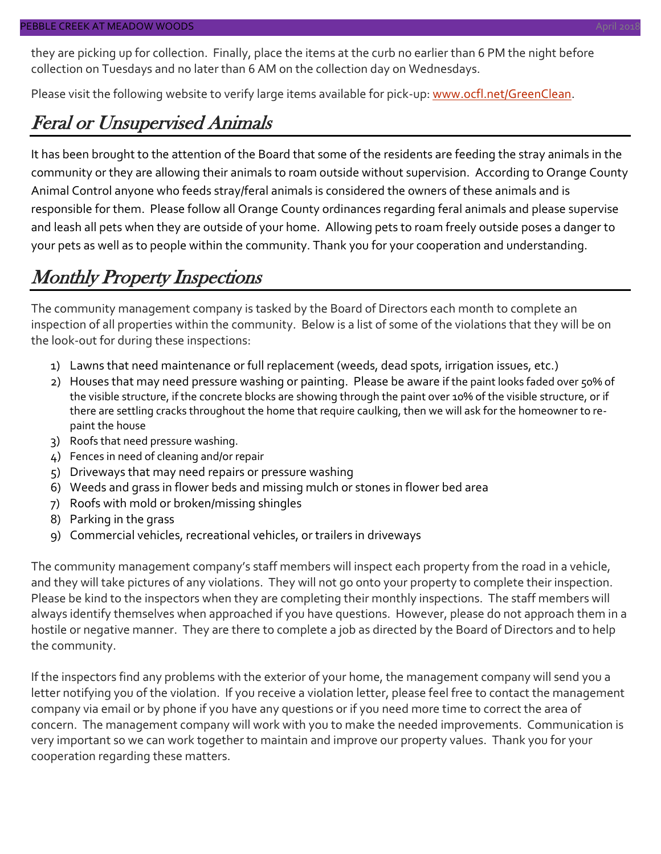they are picking up for collection. Finally, place the items at the curb no earlier than 6 PM the night before collection on Tuesdays and no later than 6 AM on the collection day on Wednesdays.

Please visit the following website to verify large items available for pick-up: [www.ocfl.net/GreenClean.](http://www.ocfl.net/GreenClean)

#### Feral or Unsupervised Animals

It has been brought to the attention of the Board that some of the residents are feeding the stray animals in the community or they are allowing their animals to roam outside without supervision. According to Orange County Animal Control anyone who feeds stray/feral animals is considered the owners of these animals and is responsible for them. Please follow all Orange County ordinances regarding feral animals and please supervise and leash all pets when they are outside of your home. Allowing pets to roam freely outside poses a danger to your pets as well as to people within the community. Thank you for your cooperation and understanding.

#### Monthly Property Inspections

The community management company is tasked by the Board of Directors each month to complete an inspection of all properties within the community. Below is a list of some of the violations that they will be on the look-out for during these inspections:

- 1) Lawns that need maintenance or full replacement (weeds, dead spots, irrigation issues, etc.)
- 2) Houses that may need pressure washing or painting. Please be aware if the paint looks faded over 50% of the visible structure, if the concrete blocks are showing through the paint over 10% of the visible structure, or if there are settling cracks throughout the home that require caulking, then we will ask for the homeowner to repaint the house
- 3) Roofs that need pressure washing.
- 4) Fences in need of cleaning and/or repair
- 5) Driveways that may need repairs or pressure washing
- 6) Weeds and grass in flower beds and missing mulch or stones in flower bed area
- 7) Roofs with mold or broken/missing shingles
- 8) Parking in the grass
- 9) Commercial vehicles, recreational vehicles, or trailers in driveways

The community management company's staff members will inspect each property from the road in a vehicle, and they will take pictures of any violations. They will not go onto your property to complete their inspection. Please be kind to the inspectors when they are completing their monthly inspections. The staff members will always identify themselves when approached if you have questions. However, please do not approach them in a hostile or negative manner. They are there to complete a job as directed by the Board of Directors and to help the community.

If the inspectors find any problems with the exterior of your home, the management company will send you a letter notifying you of the violation. If you receive a violation letter, please feel free to contact the management company via email or by phone if you have any questions or if you need more time to correct the area of concern. The management company will work with you to make the needed improvements. Communication is very important so we can work together to maintain and improve our property values. Thank you for your cooperation regarding these matters.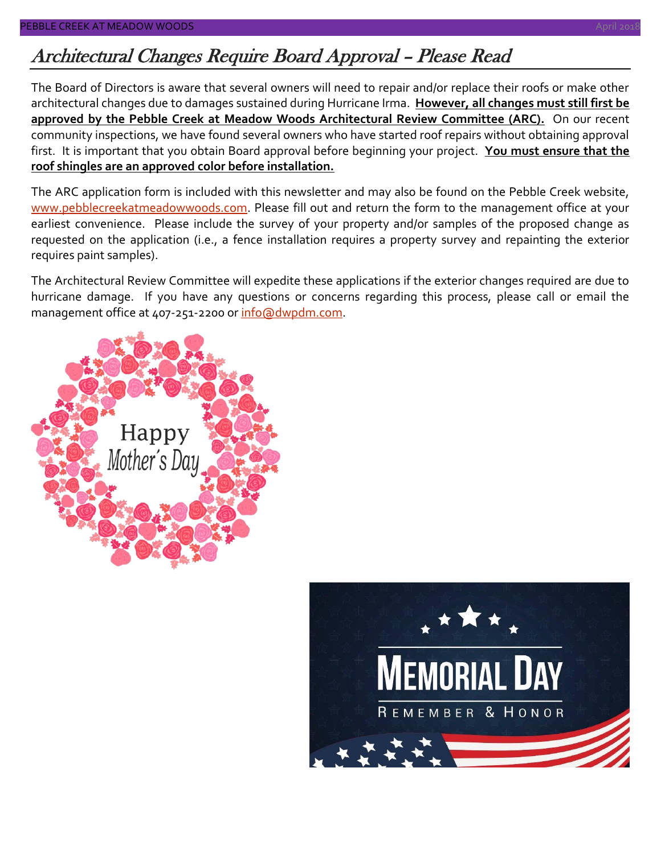## Architectural Changes Require Board Approval – Please Read

The Board of Directors is aware that several owners will need to repair and/or replace their roofs or make other architectural changes due to damages sustained during Hurricane Irma. **However, all changes must still first be approved by the Pebble Creek at Meadow Woods Architectural Review Committee (ARC).** On our recent community inspections, we have found several owners who have started roof repairs without obtaining approval first. It is important that you obtain Board approval before beginning your project. **You must ensure that the roof shingles are an approved color before installation.**

The ARC application form is included with this newsletter and may also be found on the Pebble Creek website, [www.pebblecreekatmeadowwoods.com.](http://www.pebblecreekatmeadowwoods.com/) Please fill out and return the form to the management office at your earliest convenience. Please include the survey of your property and/or samples of the proposed change as requested on the application (i.e., a fence installation requires a property survey and repainting the exterior requires paint samples).

The Architectural Review Committee will expedite these applications if the exterior changes required are due to hurricane damage. If you have any questions or concerns regarding this process, please call or email the management office at 407-251-2200 or [info@dwpdm.com.](mailto:info@dwpdm.com)



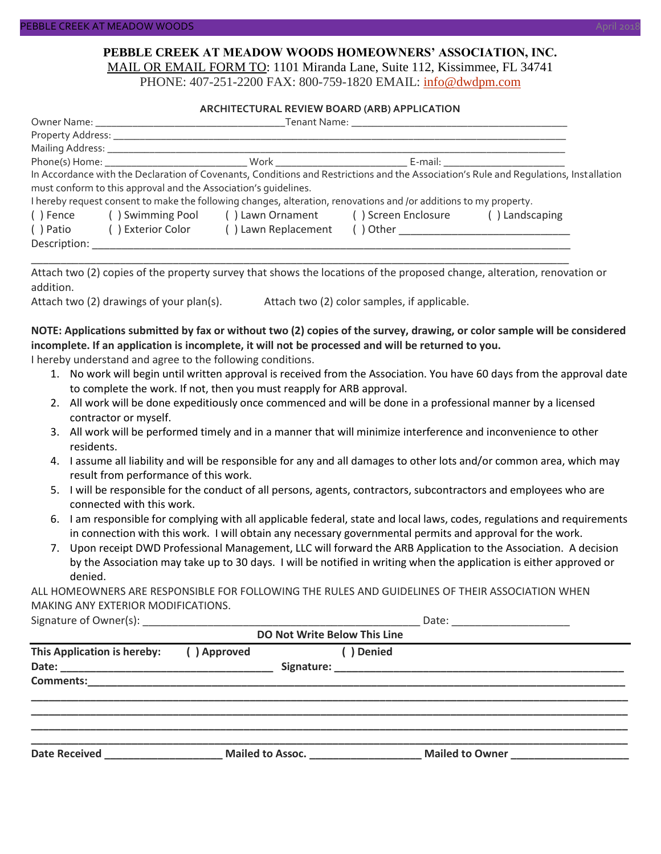#### **PEBBLE CREEK AT MEADOW WOODS HOMEOWNERS' ASSOCIATION, INC.** MAIL OR EMAIL FORM TO: 1101 Miranda Lane, Suite 112, Kissimmee, FL 34741

PHONE: 407-251-2200 FAX: 800-759-1820 EMAIL: [info@dwdpm.com](mailto:info@dwdpm.com)

#### **ARCHITECTURAL REVIEW BOARD (ARB) APPLICATION**

|              |                                                                 |                                                                                                                   |  | In Accordance with the Declaration of Covenants, Conditions and Restrictions and the Association's Rule and Requlations, Installation |  |
|--------------|-----------------------------------------------------------------|-------------------------------------------------------------------------------------------------------------------|--|---------------------------------------------------------------------------------------------------------------------------------------|--|
|              | must conform to this approval and the Association's quidelines. |                                                                                                                   |  |                                                                                                                                       |  |
|              |                                                                 | I hereby request consent to make the following changes, alteration, renovations and /or additions to my property. |  |                                                                                                                                       |  |
| () Fence     |                                                                 | () Swimming Pool () Lawn Ornament () Screen Enclosure                                                             |  | () Landscaping                                                                                                                        |  |
| ( ) Patio    | ( ) Exterior Color                                              | () Lawn Replacement                                                                                               |  |                                                                                                                                       |  |
| Description: |                                                                 |                                                                                                                   |  |                                                                                                                                       |  |

Attach two (2) copies of the property survey that shows the locations of the proposed change, alteration, renovation or addition.

\_\_\_\_\_\_\_\_\_\_\_\_\_\_\_\_\_\_\_\_\_\_\_\_\_\_\_\_\_\_\_\_\_\_\_\_\_\_\_\_\_\_\_\_\_\_\_\_\_\_\_\_\_\_\_\_\_\_\_\_\_\_\_\_\_\_\_\_\_\_\_\_\_\_\_\_\_\_\_\_\_\_\_\_\_\_\_\_\_\_\_

Attach two (2) drawings of your plan(s). Attach two (2) color samples, if applicable.

#### **NOTE: Applications submitted by fax or without two (2) copies of the survey, drawing, or color sample will be considered incomplete. If an application is incomplete, it will not be processed and will be returned to you.**

I hereby understand and agree to the following conditions.

- 1. No work will begin until written approval is received from the Association. You have 60 days from the approval date to complete the work. If not, then you must reapply for ARB approval.
- 2. All work will be done expeditiously once commenced and will be done in a professional manner by a licensed contractor or myself.
- 3. All work will be performed timely and in a manner that will minimize interference and inconvenience to other residents.
- 4. I assume all liability and will be responsible for any and all damages to other lots and/or common area, which may result from performance of this work.
- 5. I will be responsible for the conduct of all persons, agents, contractors, subcontractors and employees who are connected with this work.
- 6. I am responsible for complying with all applicable federal, state and local laws, codes, regulations and requirements in connection with this work. I will obtain any necessary governmental permits and approval for the work.
- 7. Upon receipt DWD Professional Management, LLC will forward the ARB Application to the Association. A decision by the Association may take up to 30 days. I will be notified in writing when the application is either approved or denied.

ALL HOMEOWNERS ARE RESPONSIBLE FOR FOLLOWING THE RULES AND GUIDELINES OF THEIR ASSOCIATION WHEN MAKING ANY EXTERIOR MODIFICATIONS.

| Signature of Owner(s): |  |
|------------------------|--|
|------------------------|--|

| <b>DO Not Write Below This Line</b> |             |                  |            |                 |  |  |  |
|-------------------------------------|-------------|------------------|------------|-----------------|--|--|--|
| This Application is hereby:         | () Approved |                  | ( ) Denied |                 |  |  |  |
|                                     |             |                  |            |                 |  |  |  |
|                                     |             |                  |            |                 |  |  |  |
|                                     |             |                  |            |                 |  |  |  |
|                                     |             |                  |            |                 |  |  |  |
| <b>Date Received</b>                |             | Mailed to Assoc. |            | Mailed to Owner |  |  |  |